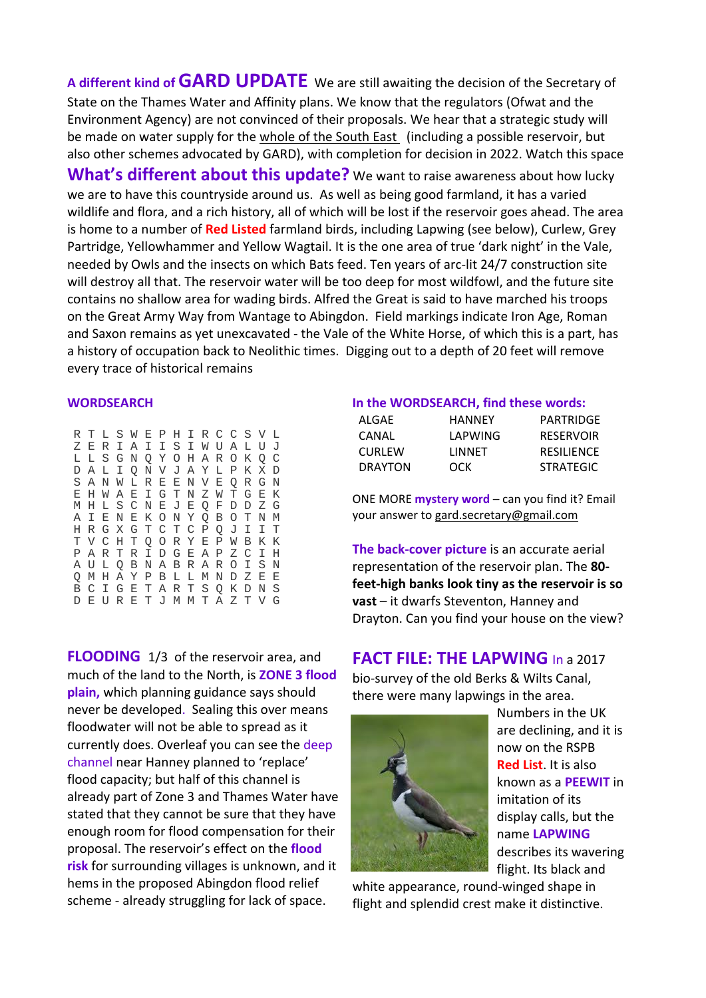**<sup>A</sup> different kind ofGARD UPDATE** We are still awaiting the decision of the Secretary of State on the Thames Water and Affinity plans. We know that the regulators (Ofwat and the Environment Agency) are not convinced of their proposals. We hear that a strategic study will be made on water supply for the whole of the South East (including a possible reservoir, but also other schemes advocated by GARD), with completion for decision in 2022. Watch this space **What's different about this update?** We want to raise awareness about how lucky we are to have this countryside around us. As well as being good farmland, it has a varied wildlife and flora, and a rich history, all of which will be lost if the reservoir goes ahead. The area is home to a number of **Red Listed** farmland birds, including Lapwing (see below), Curlew, Grey Partridge, Yellowhammer and Yellow Wagtail. It is the one area of true 'dark night' in the Vale, needed by Owls and the insects on which Bats feed. Ten years of arc‐lit 24/7 construction site will destroy all that. The reservoir water will be too deep for most wildfowl, and the future site contains no shallow area for wading birds. Alfred the Great is said to have marched his troops on the Great Army Way from Wantage to Abingdon. Field markings indicate Iron Age, Roman and Saxon remains as yet unexcavated ‐ the Vale of the White Horse, of which this is a part, has a history of occupation back to Neolithic times. Digging out to a depth of 20 feet will remove every trace of historical remains

## **WORDSEARCH**

|  |  |  |  |  |  | R T L S W E P H I R C C S V L |   |  |
|--|--|--|--|--|--|-------------------------------|---|--|
|  |  |  |  |  |  | ZERIAIISIWUALUJ               |   |  |
|  |  |  |  |  |  | LLSGNOYOHAROKOC               |   |  |
|  |  |  |  |  |  | D A L I Q N V J A Y L P K X D |   |  |
|  |  |  |  |  |  | S A N W L R E E N V E Q R G N |   |  |
|  |  |  |  |  |  | E H W A E I G T N Z W T G E K |   |  |
|  |  |  |  |  |  | M H L S C N E J E Q F D D Z G |   |  |
|  |  |  |  |  |  | A I E N E K O N Y Q B O T N M |   |  |
|  |  |  |  |  |  | H R G X G T C T C P Q J I I T |   |  |
|  |  |  |  |  |  | TVCHTQORYEPWBKK               |   |  |
|  |  |  |  |  |  | P A R T R I D G E A P Z C I H |   |  |
|  |  |  |  |  |  | A U L Q B N A B R A R O I S N |   |  |
|  |  |  |  |  |  | O M H A Y P B L L M N D Z E   | E |  |
|  |  |  |  |  |  | B C I G E T A R T S Q K D N S |   |  |
|  |  |  |  |  |  | D E U R E T J M M T A Z T V G |   |  |

**FLOODING** 1/3 of the reservoir area, and much of the land to the North, is **ZONE 3 flood plain,** which planning guidance says should never be developed. Sealing this over means floodwater will not be able to spread as it currently does. Overleaf you can see the deep channel near Hanney planned to 'replace' flood capacity; but half of this channel is already part of Zone 3 and Thames Water have stated that they cannot be sure that they have enough room for flood compensation for their proposal. The reservoir's effect on the **flood risk** for surrounding villages is unknown, and it hems in the proposed Abingdon flood relief scheme ‐ already struggling for lack of space.

## **In the WORDSEARCH, find these words:**

| ALGAE          | HANNFY  | PARTRIDGE         |
|----------------|---------|-------------------|
| CANAL          | LAPWING | <b>RESERVOIR</b>  |
| <b>CURLEW</b>  | LINNFT  | <b>RESILIENCE</b> |
| <b>DRAYTON</b> | OCK     | <b>STRATEGIC</b>  |

ONE MORE **mystery word** – can you find it? Email your answer to gard.secretary@gmail.com

**The back‐cover picture** is an accurate aerial representation of the reservoir plan. The **80‐ feet‐high banks look tiny as the reservoir is so vast** – it dwarfs Steventon, Hanney and Drayton. Can you find your house on the view?

## **FACT FILE: THE LAPWING** In a 2017

bio‐survey of the old Berks & Wilts Canal, there were many lapwings in the area.



Numbers in the UK are declining, and it is now on the RSPB **Red List**. It is also known as a **PEEWIT** in imitation of its display calls, but the name **LAPWING** describes its wavering flight. Its black and

white appearance, round‐winged shape in flight and splendid crest make it distinctive.